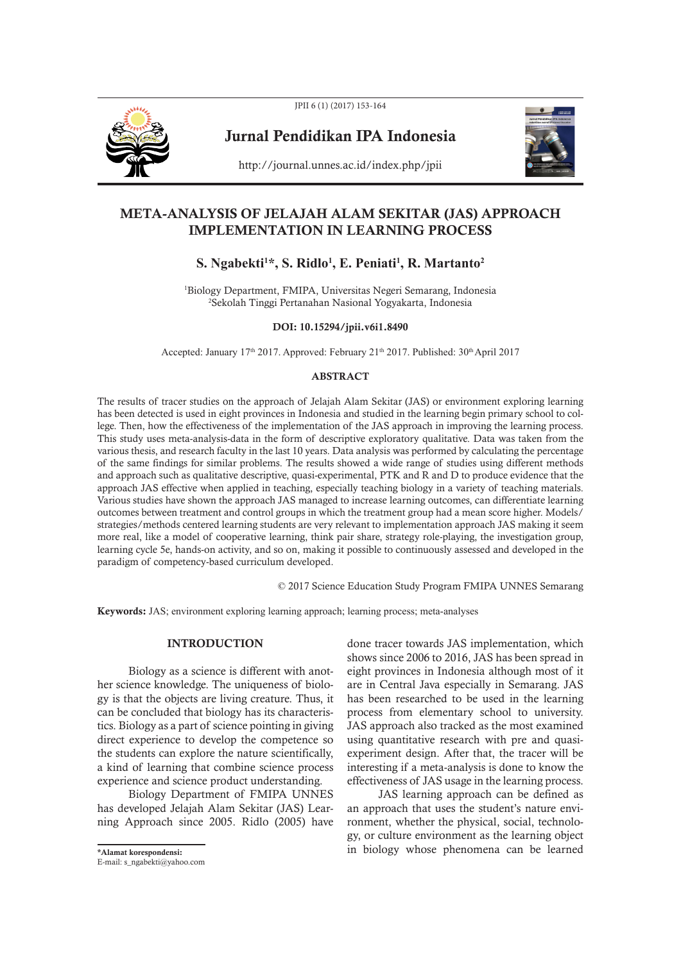

JPII 6 (1) (2017) 153-164

Jurnal Pendidikan IPA Indonesia



http://journal.unnes.ac.id/index.php/jpii

# META-ANALYSIS OF JELAJAH ALAM SEKITAR (JAS) APPROACH IMPLEMENTATION IN LEARNING PROCESS

# **S. Ngabekti1 \*, S. Ridlo1 , E. Peniati1 , R. Martanto2**

1 Biology Department, FMIPA, Universitas Negeri Semarang, Indonesia 2 Sekolah Tinggi Pertanahan Nasional Yogyakarta, Indonesia

#### DOI: 10.15294/jpii.v6i1.8490

Accepted: January 17<sup>th</sup> 2017. Approved: February 21<sup>th</sup> 2017. Published: 30<sup>th</sup> April 2017

### ABSTRACT

The results of tracer studies on the approach of Jelajah Alam Sekitar (JAS) or environment exploring learning has been detected is used in eight provinces in Indonesia and studied in the learning begin primary school to college. Then, how the effectiveness of the implementation of the JAS approach in improving the learning process. This study uses meta-analysis-data in the form of descriptive exploratory qualitative. Data was taken from the various thesis, and research faculty in the last 10 years. Data analysis was performed by calculating the percentage of the same findings for similar problems. The results showed a wide range of studies using different methods and approach such as qualitative descriptive, quasi-experimental, PTK and R and D to produce evidence that the approach JAS effective when applied in teaching, especially teaching biology in a variety of teaching materials. Various studies have shown the approach JAS managed to increase learning outcomes, can differentiate learning outcomes between treatment and control groups in which the treatment group had a mean score higher. Models/ strategies/methods centered learning students are very relevant to implementation approach JAS making it seem more real, like a model of cooperative learning, think pair share, strategy role-playing, the investigation group, learning cycle 5e, hands-on activity, and so on, making it possible to continuously assessed and developed in the paradigm of competency-based curriculum developed.

© 2017 Science Education Study Program FMIPA UNNES Semarang

Keywords: JAS; environment exploring learning approach; learning process; meta-analyses

# **INTRODUCTION**

Biology as a science is different with another science knowledge. The uniqueness of biology is that the objects are living creature. Thus, it can be concluded that biology has its characteristics. Biology as a part of science pointing in giving direct experience to develop the competence so the students can explore the nature scientifically, a kind of learning that combine science process experience and science product understanding.

Biology Department of FMIPA UNNES has developed Jelajah Alam Sekitar (JAS) Learning Approach since 2005. Ridlo (2005) have

E-mail: s\_ngabekti@yahoo.com

done tracer towards JAS implementation, which shows since 2006 to 2016, JAS has been spread in eight provinces in Indonesia although most of it are in Central Java especially in Semarang. JAS has been researched to be used in the learning process from elementary school to university. JAS approach also tracked as the most examined using quantitative research with pre and quasiexperiment design. After that, the tracer will be interesting if a meta-analysis is done to know the effectiveness of JAS usage in the learning process.

JAS learning approach can be defined as an approach that uses the student's nature environment, whether the physical, social, technology, or culture environment as the learning object \*Alamat korespondensi: in biology whose phenomena can be learned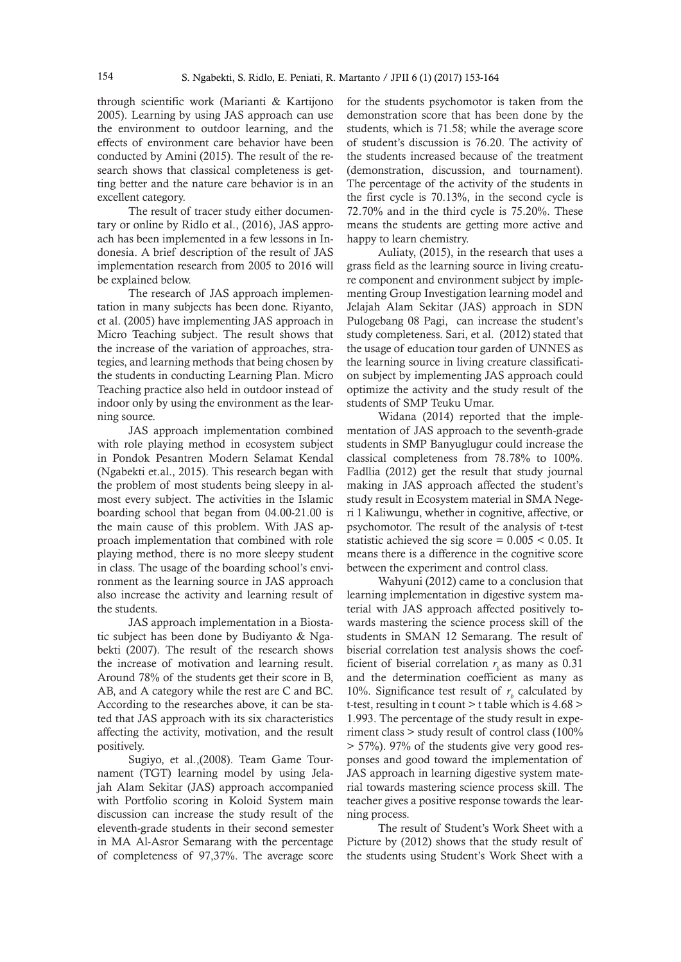through scientific work (Marianti & Kartijono 2005). Learning by using JAS approach can use the environment to outdoor learning, and the effects of environment care behavior have been conducted by Amini (2015). The result of the research shows that classical completeness is getting better and the nature care behavior is in an excellent category.

The result of tracer study either documentary or online by Ridlo et al., (2016), JAS approach has been implemented in a few lessons in Indonesia. A brief description of the result of JAS implementation research from 2005 to 2016 will be explained below.

The research of JAS approach implementation in many subjects has been done. Riyanto, et al. (2005) have implementing JAS approach in Micro Teaching subject. The result shows that the increase of the variation of approaches, strategies, and learning methods that being chosen by the students in conducting Learning Plan. Micro Teaching practice also held in outdoor instead of indoor only by using the environment as the learning source.

JAS approach implementation combined with role playing method in ecosystem subject in Pondok Pesantren Modern Selamat Kendal (Ngabekti et.al., 2015). This research began with the problem of most students being sleepy in almost every subject. The activities in the Islamic boarding school that began from 04.00-21.00 is the main cause of this problem. With JAS approach implementation that combined with role playing method, there is no more sleepy student in class. The usage of the boarding school's environment as the learning source in JAS approach also increase the activity and learning result of the students.

JAS approach implementation in a Biostatic subject has been done by Budiyanto & Ngabekti (2007). The result of the research shows the increase of motivation and learning result. Around 78% of the students get their score in B, AB, and A category while the rest are C and BC. According to the researches above, it can be stated that JAS approach with its six characteristics affecting the activity, motivation, and the result positively.

Sugiyo, et al.,(2008). Team Game Tournament (TGT) learning model by using Jelajah Alam Sekitar (JAS) approach accompanied with Portfolio scoring in Koloid System main discussion can increase the study result of the eleventh-grade students in their second semester in MA Al-Asror Semarang with the percentage of completeness of 97,37%. The average score

for the students psychomotor is taken from the demonstration score that has been done by the students, which is 71.58; while the average score of student's discussion is 76.20. The activity of the students increased because of the treatment (demonstration, discussion, and tournament). The percentage of the activity of the students in the first cycle is 70.13%, in the second cycle is 72.70% and in the third cycle is 75.20%. These means the students are getting more active and happy to learn chemistry.

Auliaty, (2015), in the research that uses a grass field as the learning source in living creature component and environment subject by implementing Group Investigation learning model and Jelajah Alam Sekitar (JAS) approach in SDN Pulogebang 08 Pagi, can increase the student's study completeness. Sari, et al. (2012) stated that the usage of education tour garden of UNNES as the learning source in living creature classification subject by implementing JAS approach could optimize the activity and the study result of the students of SMP Teuku Umar.

Widana (2014) reported that the implementation of JAS approach to the seventh-grade students in SMP Banyuglugur could increase the classical completeness from 78.78% to 100%. Fadllia (2012) get the result that study journal making in JAS approach affected the student's study result in Ecosystem material in SMA Negeri 1 Kaliwungu, whether in cognitive, affective, or psychomotor. The result of the analysis of t-test statistic achieved the sig score =  $0.005 < 0.05$ . It means there is a difference in the cognitive score between the experiment and control class.

Wahyuni (2012) came to a conclusion that learning implementation in digestive system material with JAS approach affected positively towards mastering the science process skill of the students in SMAN 12 Semarang. The result of biserial correlation test analysis shows the coefficient of biserial correlation  $r$ , as many as  $0.31$ and the determination coefficient as many as 10%. Significance test result of  $r<sub>b</sub>$  calculated by t-test, resulting in t count  $>$  t table which is 4.68  $>$ 1.993. The percentage of the study result in experiment class > study result of control class (100% > 57%). 97% of the students give very good responses and good toward the implementation of JAS approach in learning digestive system material towards mastering science process skill. The teacher gives a positive response towards the learning process.

The result of Student's Work Sheet with a Picture by (2012) shows that the study result of the students using Student's Work Sheet with a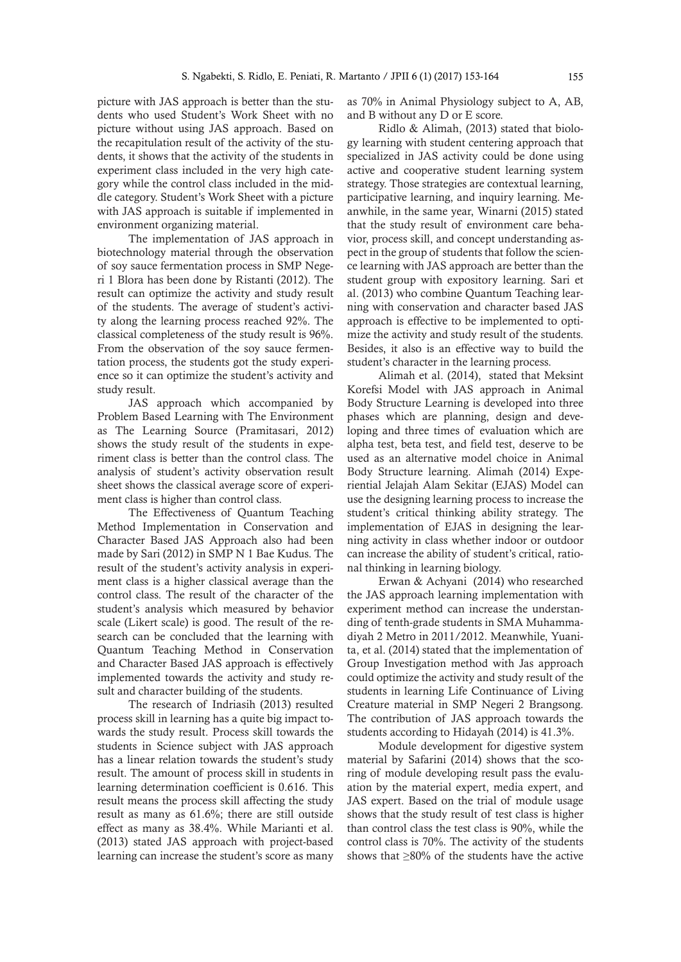picture with JAS approach is better than the students who used Student's Work Sheet with no picture without using JAS approach. Based on the recapitulation result of the activity of the students, it shows that the activity of the students in experiment class included in the very high category while the control class included in the middle category. Student's Work Sheet with a picture with JAS approach is suitable if implemented in environment organizing material.

The implementation of JAS approach in biotechnology material through the observation of soy sauce fermentation process in SMP Negeri 1 Blora has been done by Ristanti (2012). The result can optimize the activity and study result of the students. The average of student's activity along the learning process reached 92%. The classical completeness of the study result is 96%. From the observation of the soy sauce fermentation process, the students got the study experience so it can optimize the student's activity and study result.

JAS approach which accompanied by Problem Based Learning with The Environment as The Learning Source (Pramitasari, 2012) shows the study result of the students in experiment class is better than the control class. The analysis of student's activity observation result sheet shows the classical average score of experiment class is higher than control class.

The Effectiveness of Quantum Teaching Method Implementation in Conservation and Character Based JAS Approach also had been made by Sari (2012) in SMP N 1 Bae Kudus. The result of the student's activity analysis in experiment class is a higher classical average than the control class. The result of the character of the student's analysis which measured by behavior scale (Likert scale) is good. The result of the research can be concluded that the learning with Quantum Teaching Method in Conservation and Character Based JAS approach is effectively implemented towards the activity and study result and character building of the students.

The research of Indriasih (2013) resulted process skill in learning has a quite big impact towards the study result. Process skill towards the students in Science subject with JAS approach has a linear relation towards the student's study result. The amount of process skill in students in learning determination coefficient is 0.616. This result means the process skill affecting the study result as many as 61.6%; there are still outside effect as many as 38.4%. While Marianti et al. (2013) stated JAS approach with project-based learning can increase the student's score as many

as 70% in Animal Physiology subject to A, AB, and B without any D or E score.

Ridlo & Alimah, (2013) stated that biology learning with student centering approach that specialized in JAS activity could be done using active and cooperative student learning system strategy. Those strategies are contextual learning, participative learning, and inquiry learning. Meanwhile, in the same year, Winarni (2015) stated that the study result of environment care behavior, process skill, and concept understanding aspect in the group of students that follow the science learning with JAS approach are better than the student group with expository learning. Sari et al. (2013) who combine Quantum Teaching learning with conservation and character based JAS approach is effective to be implemented to optimize the activity and study result of the students. Besides, it also is an effective way to build the student's character in the learning process.

Alimah et al. (2014), stated that Meksint Korefsi Model with JAS approach in Animal Body Structure Learning is developed into three phases which are planning, design and developing and three times of evaluation which are alpha test, beta test, and field test, deserve to be used as an alternative model choice in Animal Body Structure learning. Alimah (2014) Experiential Jelajah Alam Sekitar (EJAS) Model can use the designing learning process to increase the student's critical thinking ability strategy. The implementation of EJAS in designing the learning activity in class whether indoor or outdoor can increase the ability of student's critical, rational thinking in learning biology.

Erwan & Achyani (2014) who researched the JAS approach learning implementation with experiment method can increase the understanding of tenth-grade students in SMA Muhammadiyah 2 Metro in 2011/2012. Meanwhile, Yuanita, et al. (2014) stated that the implementation of Group Investigation method with Jas approach could optimize the activity and study result of the students in learning Life Continuance of Living Creature material in SMP Negeri 2 Brangsong. The contribution of JAS approach towards the students according to Hidayah (2014) is 41.3%.

Module development for digestive system material by Safarini (2014) shows that the scoring of module developing result pass the evaluation by the material expert, media expert, and JAS expert. Based on the trial of module usage shows that the study result of test class is higher than control class the test class is 90%, while the control class is 70%. The activity of the students shows that ≥80% of the students have the active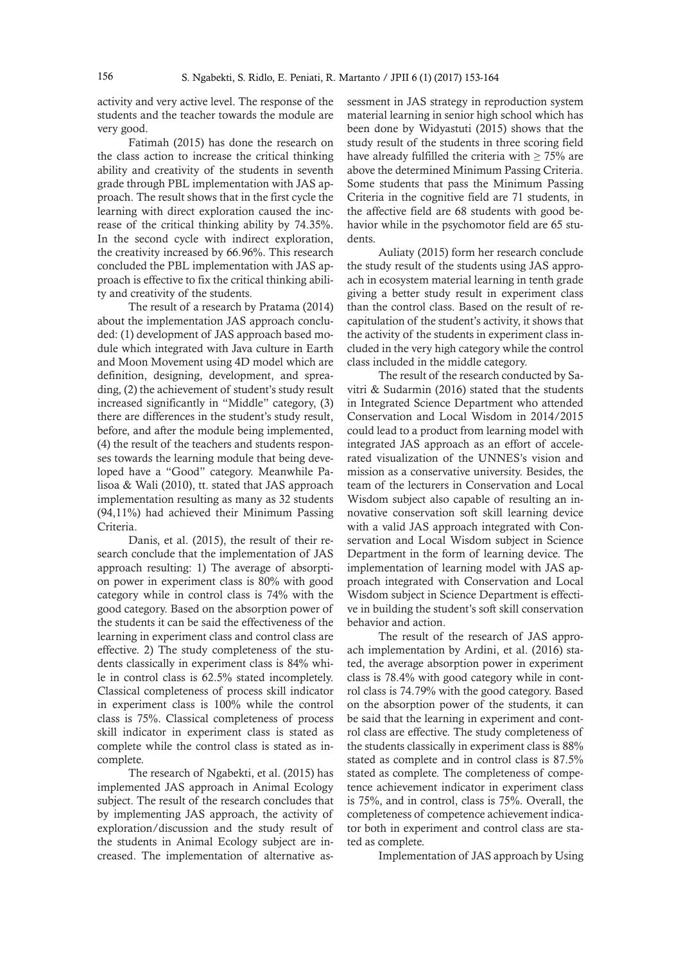activity and very active level. The response of the students and the teacher towards the module are very good.

Fatimah (2015) has done the research on the class action to increase the critical thinking ability and creativity of the students in seventh grade through PBL implementation with JAS approach. The result shows that in the first cycle the learning with direct exploration caused the increase of the critical thinking ability by 74.35%. In the second cycle with indirect exploration, the creativity increased by 66.96%. This research concluded the PBL implementation with JAS approach is effective to fix the critical thinking ability and creativity of the students.

The result of a research by Pratama (2014) about the implementation JAS approach concluded: (1) development of JAS approach based module which integrated with Java culture in Earth and Moon Movement using 4D model which are definition, designing, development, and spreading, (2) the achievement of student's study result increased significantly in "Middle" category, (3) there are differences in the student's study result, before, and after the module being implemented, (4) the result of the teachers and students responses towards the learning module that being developed have a "Good" category. Meanwhile Palisoa & Wali (2010), tt. stated that JAS approach implementation resulting as many as 32 students (94,11%) had achieved their Minimum Passing Criteria.

Danis, et al. (2015), the result of their research conclude that the implementation of JAS approach resulting: 1) The average of absorption power in experiment class is 80% with good category while in control class is 74% with the good category. Based on the absorption power of the students it can be said the effectiveness of the learning in experiment class and control class are effective. 2) The study completeness of the students classically in experiment class is 84% while in control class is 62.5% stated incompletely. Classical completeness of process skill indicator in experiment class is 100% while the control class is 75%. Classical completeness of process skill indicator in experiment class is stated as complete while the control class is stated as incomplete.

The research of Ngabekti, et al. (2015) has implemented JAS approach in Animal Ecology subject. The result of the research concludes that by implementing JAS approach, the activity of exploration/discussion and the study result of the students in Animal Ecology subject are increased. The implementation of alternative assessment in JAS strategy in reproduction system material learning in senior high school which has been done by Widyastuti (2015) shows that the study result of the students in three scoring field have already fulfilled the criteria with  $\geq 75\%$  are above the determined Minimum Passing Criteria. Some students that pass the Minimum Passing Criteria in the cognitive field are 71 students, in the affective field are 68 students with good behavior while in the psychomotor field are 65 students.

Auliaty (2015) form her research conclude the study result of the students using JAS approach in ecosystem material learning in tenth grade giving a better study result in experiment class than the control class. Based on the result of recapitulation of the student's activity, it shows that the activity of the students in experiment class included in the very high category while the control class included in the middle category.

The result of the research conducted by Savitri & Sudarmin (2016) stated that the students in Integrated Science Department who attended Conservation and Local Wisdom in 2014/2015 could lead to a product from learning model with integrated JAS approach as an effort of accelerated visualization of the UNNES's vision and mission as a conservative university. Besides, the team of the lecturers in Conservation and Local Wisdom subject also capable of resulting an innovative conservation soft skill learning device with a valid JAS approach integrated with Conservation and Local Wisdom subject in Science Department in the form of learning device. The implementation of learning model with JAS approach integrated with Conservation and Local Wisdom subject in Science Department is effective in building the student's soft skill conservation behavior and action.

The result of the research of JAS approach implementation by Ardini, et al. (2016) stated, the average absorption power in experiment class is 78.4% with good category while in control class is 74.79% with the good category. Based on the absorption power of the students, it can be said that the learning in experiment and control class are effective. The study completeness of the students classically in experiment class is 88% stated as complete and in control class is 87.5% stated as complete. The completeness of competence achievement indicator in experiment class is 75%, and in control, class is 75%. Overall, the completeness of competence achievement indicator both in experiment and control class are stated as complete.

Implementation of JAS approach by Using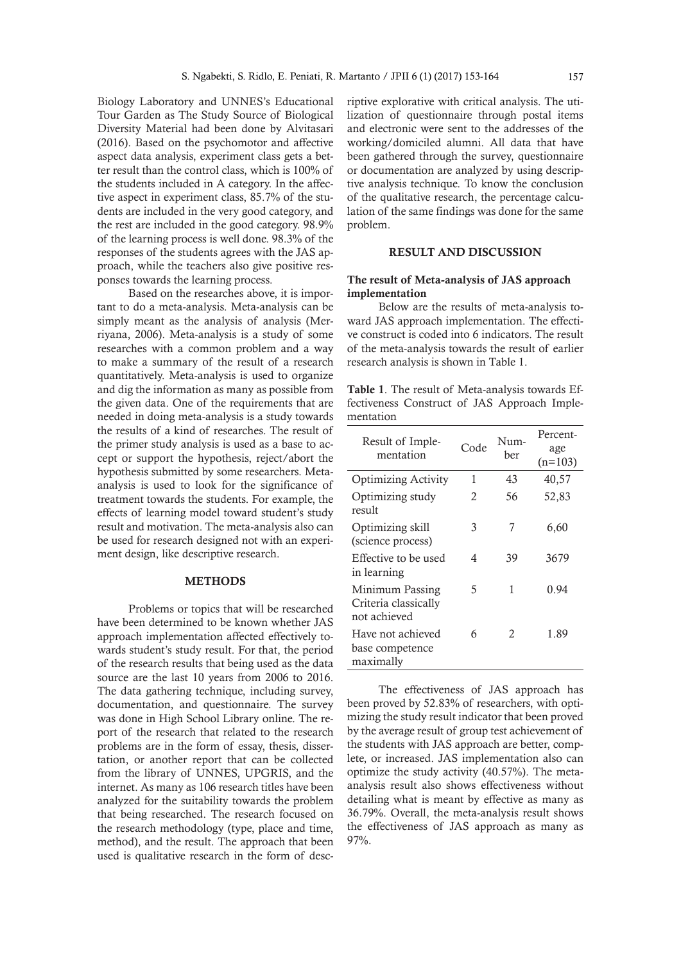Biology Laboratory and UNNES's Educational Tour Garden as The Study Source of Biological Diversity Material had been done by Alvitasari (2016). Based on the psychomotor and affective aspect data analysis, experiment class gets a better result than the control class, which is 100% of the students included in A category. In the affective aspect in experiment class, 85.7% of the students are included in the very good category, and the rest are included in the good category. 98.9% of the learning process is well done. 98.3% of the responses of the students agrees with the JAS approach, while the teachers also give positive responses towards the learning process.

Based on the researches above, it is important to do a meta-analysis. Meta-analysis can be simply meant as the analysis of analysis (Merriyana, 2006). Meta-analysis is a study of some researches with a common problem and a way to make a summary of the result of a research quantitatively. Meta-analysis is used to organize and dig the information as many as possible from the given data. One of the requirements that are needed in doing meta-analysis is a study towards the results of a kind of researches. The result of the primer study analysis is used as a base to accept or support the hypothesis, reject/abort the hypothesis submitted by some researchers. Metaanalysis is used to look for the significance of treatment towards the students. For example, the effects of learning model toward student's study result and motivation. The meta-analysis also can be used for research designed not with an experiment design, like descriptive research.

### **METHODS**

Problems or topics that will be researched have been determined to be known whether JAS approach implementation affected effectively towards student's study result. For that, the period of the research results that being used as the data source are the last 10 years from 2006 to 2016. The data gathering technique, including survey, documentation, and questionnaire. The survey was done in High School Library online. The report of the research that related to the research problems are in the form of essay, thesis, dissertation, or another report that can be collected from the library of UNNES, UPGRIS, and the internet. As many as 106 research titles have been analyzed for the suitability towards the problem that being researched. The research focused on the research methodology (type, place and time, method), and the result. The approach that been used is qualitative research in the form of descriptive explorative with critical analysis. The utilization of questionnaire through postal items and electronic were sent to the addresses of the working/domiciled alumni. All data that have been gathered through the survey, questionnaire or documentation are analyzed by using descriptive analysis technique. To know the conclusion of the qualitative research, the percentage calculation of the same findings was done for the same problem.

## RESULT AND DISCUSSION

## The result of Meta-analysis of JAS approach implementation

Below are the results of meta-analysis toward JAS approach implementation. The effective construct is coded into 6 indicators. The result of the meta-analysis towards the result of earlier research analysis is shown in Table 1.

Table 1. The result of Meta-analysis towards Effectiveness Construct of JAS Approach Implementation

| Result of Imple-<br>mentation                           | Code | Num-<br>her | Percent-<br>age<br>$(n=103)$ |
|---------------------------------------------------------|------|-------------|------------------------------|
| <b>Optimizing Activity</b>                              | 1    | 43          | 40,57                        |
| Optimizing study<br>result                              | 2    | 56          | 52,83                        |
| Optimizing skill<br>(science process)                   | 3    | 7           | 6,60                         |
| Effective to be used<br>in learning                     | 4    | 39          | 3679                         |
| Minimum Passing<br>Criteria classically<br>not achieved | 5    | 1           | 0.94                         |
| Have not achieved<br>base competence<br>maximally       | 6    | 2           | 1.89                         |

The effectiveness of JAS approach has been proved by 52.83% of researchers, with optimizing the study result indicator that been proved by the average result of group test achievement of the students with JAS approach are better, complete, or increased. JAS implementation also can optimize the study activity (40.57%). The metaanalysis result also shows effectiveness without detailing what is meant by effective as many as 36.79%. Overall, the meta-analysis result shows the effectiveness of JAS approach as many as 97%.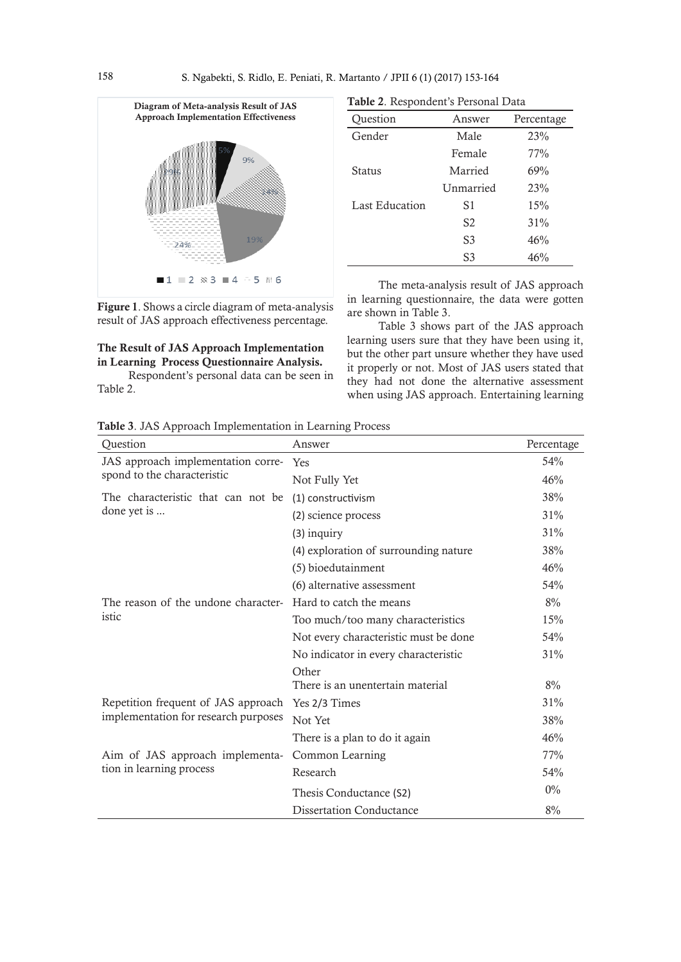

Figure 1. Shows a circle diagram of meta-analysis result of JAS approach effectiveness percentage.

# The Result of JAS Approach Implementation in Learning Process Questionnaire Analysis.

Respondent's personal data can be seen in Table 2.

| ᅩ              |           |            |
|----------------|-----------|------------|
| Question       | Answer    | Percentage |
| Gender         | Male      | 23%        |
|                | Female    | 77%        |
| Status         | Married   | 69%        |
|                | Unmarried | 23%        |
| Last Education | S1        | 15%        |
|                | S2        | 31%        |
|                | S3        | 46%        |
|                | S3        | 46%        |
|                |           |            |

Table 2. Respondent's Personal Data

The meta-analysis result of JAS approach in learning questionnaire, the data were gotten are shown in Table 3.

Table 3 shows part of the JAS approach learning users sure that they have been using it, but the other part unsure whether they have used it properly or not. Most of JAS users stated that they had not done the alternative assessment when using JAS approach. Entertaining learning

|  |  |  |  | Table 3. JAS Approach Implementation in Learning Process |  |  |  |
|--|--|--|--|----------------------------------------------------------|--|--|--|
|--|--|--|--|----------------------------------------------------------|--|--|--|

| Question                             | Answer                                    | Percentage |
|--------------------------------------|-------------------------------------------|------------|
| JAS approach implementation corre-   | Yes                                       | 54%        |
| spond to the characteristic          | Not Fully Yet                             | 46%        |
| The characteristic that can not be   | (1) constructivism                        | 38%        |
| done yet is                          | (2) science process                       | 31%        |
|                                      | $(3)$ inquiry                             | 31%        |
|                                      | (4) exploration of surrounding nature     | 38%        |
|                                      | (5) bioedutainment                        | 46%        |
|                                      | (6) alternative assessment                | 54%        |
| The reason of the undone character-  | Hard to catch the means                   | 8%         |
| istic                                | Too much/too many characteristics         | 15%        |
|                                      | Not every characteristic must be done     | 54%        |
|                                      | No indicator in every characteristic      | 31%        |
|                                      | Other<br>There is an unentertain material | 8%         |
| Repetition frequent of JAS approach  | Yes 2/3 Times                             | 31%        |
| implementation for research purposes | Not Yet                                   | 38%        |
|                                      | There is a plan to do it again            | 46%        |
| Aim of JAS approach implementa-      | Common Learning                           | 77%        |
| tion in learning process             | Research                                  | 54%        |
|                                      | Thesis Conductance (S2)                   | $0\%$      |
|                                      | <b>Dissertation Conductance</b>           | 8%         |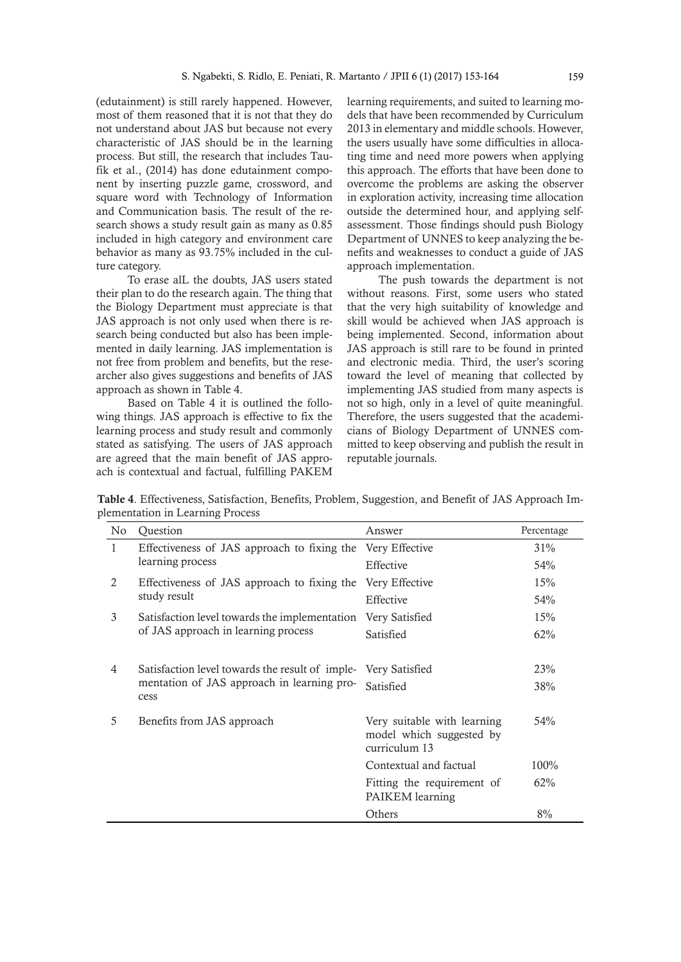(edutainment) is still rarely happened. However, most of them reasoned that it is not that they do not understand about JAS but because not every characteristic of JAS should be in the learning process. But still, the research that includes Taufik et al., (2014) has done edutainment component by inserting puzzle game, crossword, and square word with Technology of Information and Communication basis. The result of the research shows a study result gain as many as 0.85 included in high category and environment care behavior as many as 93.75% included in the culture category.

To erase alL the doubts, JAS users stated their plan to do the research again. The thing that the Biology Department must appreciate is that JAS approach is not only used when there is research being conducted but also has been implemented in daily learning. JAS implementation is not free from problem and benefits, but the researcher also gives suggestions and benefits of JAS approach as shown in Table 4.

Based on Table 4 it is outlined the following things. JAS approach is effective to fix the learning process and study result and commonly stated as satisfying. The users of JAS approach are agreed that the main benefit of JAS approach is contextual and factual, fulfilling PAKEM learning requirements, and suited to learning models that have been recommended by Curriculum 2013 in elementary and middle schools. However, the users usually have some difficulties in allocating time and need more powers when applying this approach. The efforts that have been done to overcome the problems are asking the observer in exploration activity, increasing time allocation outside the determined hour, and applying selfassessment. Those findings should push Biology Department of UNNES to keep analyzing the benefits and weaknesses to conduct a guide of JAS approach implementation.

The push towards the department is not without reasons. First, some users who stated that the very high suitability of knowledge and skill would be achieved when JAS approach is being implemented. Second, information about JAS approach is still rare to be found in printed and electronic media. Third, the user's scoring toward the level of meaning that collected by implementing JAS studied from many aspects is not so high, only in a level of quite meaningful. Therefore, the users suggested that the academicians of Biology Department of UNNES committed to keep observing and publish the result in reputable journals.

Table 4. Effectiveness, Satisfaction, Benefits, Problem, Suggestion, and Benefit of JAS Approach Implementation in Learning Process

| No           | Question                                           | Answer                                                                   | Percentage |
|--------------|----------------------------------------------------|--------------------------------------------------------------------------|------------|
| $\mathbf{1}$ | Effectiveness of JAS approach to fixing the        | Very Effective                                                           | 31%        |
|              | learning process                                   | Effective                                                                | 54%        |
| 2            | Effectiveness of JAS approach to fixing the        | Very Effective                                                           | 15%        |
|              | study result                                       | Effective                                                                | 54%        |
| 3            | Satisfaction level towards the implementation      | Very Satisfied                                                           | 15%        |
|              | of JAS approach in learning process                | Satisfied                                                                | 62%        |
|              |                                                    |                                                                          |            |
| 4            | Satisfaction level towards the result of imple-    | Very Satisfied                                                           | 23%        |
|              | mentation of JAS approach in learning pro-<br>cess | Satisfied                                                                | 38%        |
| 5            | Benefits from JAS approach                         | Very suitable with learning<br>model which suggested by<br>curriculum 13 | 54%        |
|              |                                                    | Contextual and factual                                                   | 100%       |
|              |                                                    | Fitting the requirement of<br>PAIKEM learning                            | 62%        |
|              |                                                    | Others                                                                   | 8%         |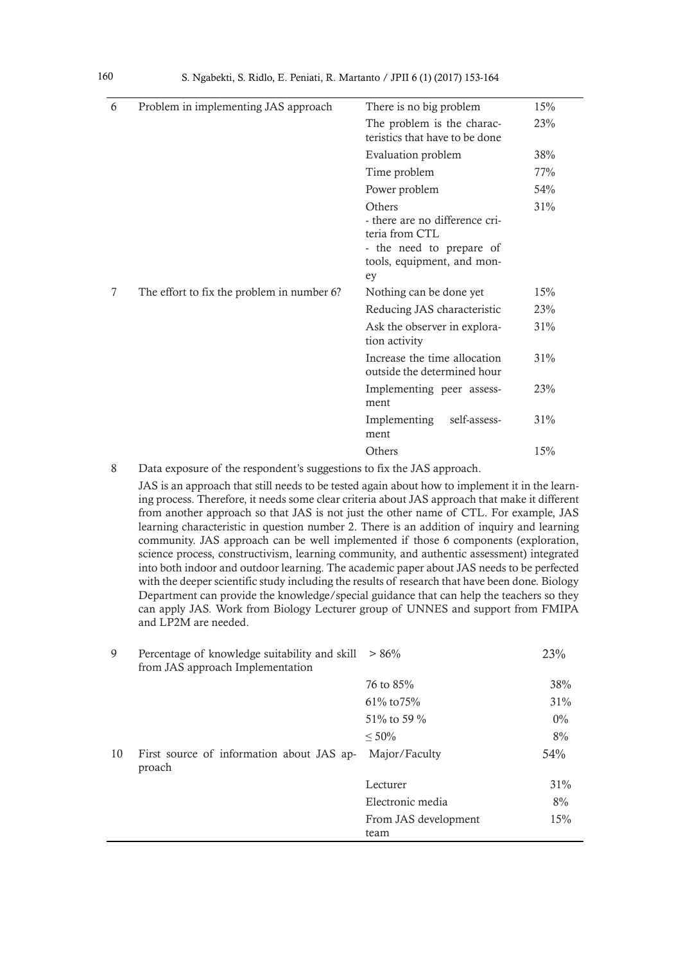| 6 | Problem in implementing JAS approach       | There is no big problem                                                                                                    | 15% |
|---|--------------------------------------------|----------------------------------------------------------------------------------------------------------------------------|-----|
|   |                                            | The problem is the charac-<br>teristics that have to be done                                                               | 23% |
|   |                                            | Evaluation problem                                                                                                         | 38% |
|   |                                            | Time problem                                                                                                               | 77% |
|   |                                            | Power problem                                                                                                              | 54% |
|   |                                            | Others<br>- there are no difference cri-<br>teria from CTL<br>- the need to prepare of<br>tools, equipment, and mon-<br>ey | 31% |
| 7 | The effort to fix the problem in number 6? | Nothing can be done yet                                                                                                    | 15% |
|   |                                            | Reducing JAS characteristic                                                                                                | 23% |
|   |                                            | Ask the observer in explora-<br>tion activity                                                                              | 31% |
|   |                                            | Increase the time allocation<br>outside the determined hour                                                                | 31% |
|   |                                            | Implementing peer assess-<br>ment                                                                                          | 23% |
|   |                                            | Implementing<br>self-assess-<br>ment                                                                                       | 31% |
|   |                                            | Others                                                                                                                     | 15% |

8 Data exposure of the respondent's suggestions to fix the JAS approach.

JAS is an approach that still needs to be tested again about how to implement it in the learning process. Therefore, it needs some clear criteria about JAS approach that make it different from another approach so that JAS is not just the other name of CTL. For example, JAS learning characteristic in question number 2. There is an addition of inquiry and learning community. JAS approach can be well implemented if those 6 components (exploration, science process, constructivism, learning community, and authentic assessment) integrated into both indoor and outdoor learning. The academic paper about JAS needs to be perfected with the deeper scientific study including the results of research that have been done. Biology Department can provide the knowledge/special guidance that can help the teachers so they can apply JAS. Work from Biology Lecturer group of UNNES and support from FMIPA and LP2M are needed.

| 9  | Percentage of knowledge suitability and skill<br>from JAS approach Implementation | $> 86\%$                     | 23%    |
|----|-----------------------------------------------------------------------------------|------------------------------|--------|
|    |                                                                                   | 76 to 85%                    | 38%    |
|    |                                                                                   | $61\% \text{ to } 75\%$      | $31\%$ |
|    |                                                                                   | 51\% to 59 \%                | $0\%$  |
|    |                                                                                   | $< 50\%$                     | 8%     |
| 10 | First source of information about JAS ap-<br>proach                               | Major/Faculty                | 54%    |
|    |                                                                                   | Lecturer                     | $31\%$ |
|    |                                                                                   | Electronic media             | 8%     |
|    |                                                                                   | From JAS development<br>team | 15%    |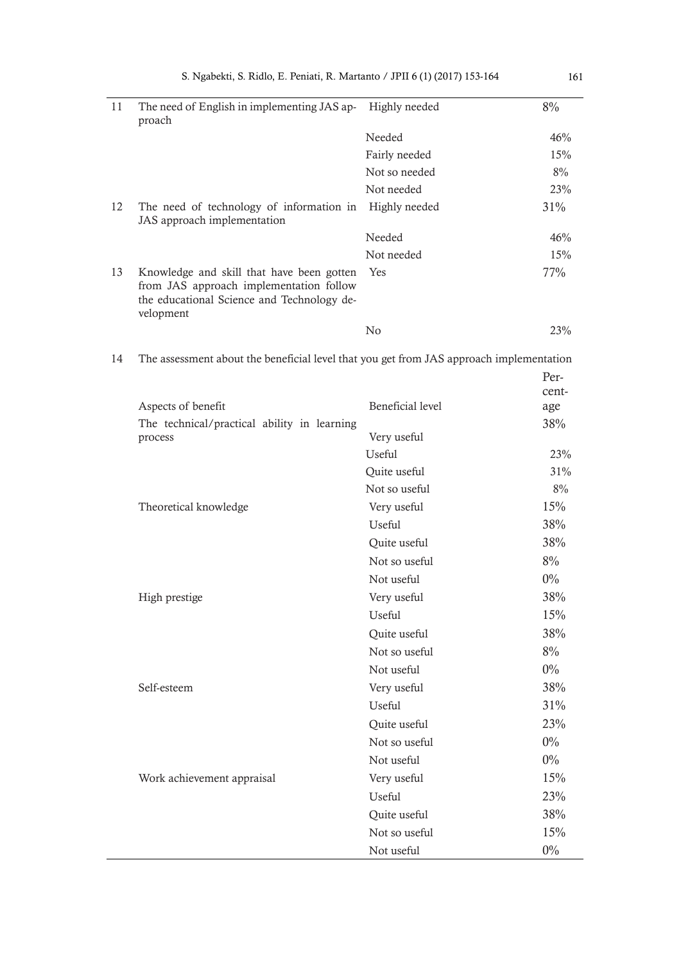| 11 | The need of English in implementing JAS ap-<br>proach                                                                                           | Highly needed | 8%     |
|----|-------------------------------------------------------------------------------------------------------------------------------------------------|---------------|--------|
|    |                                                                                                                                                 | Needed        | 46%    |
|    |                                                                                                                                                 | Fairly needed | 15%    |
|    |                                                                                                                                                 | Not so needed | 8%     |
|    |                                                                                                                                                 | Not needed    | 23%    |
| 12 | The need of technology of information in<br>JAS approach implementation                                                                         | Highly needed | $31\%$ |
|    |                                                                                                                                                 | Needed        | 46%    |
|    |                                                                                                                                                 | Not needed    | 15%    |
| 13 | Knowledge and skill that have been gotten<br>from JAS approach implementation follow<br>the educational Science and Technology de-<br>velopment | Yes           | 77%    |
|    |                                                                                                                                                 | No            | 23%    |

14 The assessment about the beneficial level that you get from JAS approach implementation

|                                             |                  | Per-  |
|---------------------------------------------|------------------|-------|
|                                             |                  | cent- |
| Aspects of benefit                          | Beneficial level | age   |
| The technical/practical ability in learning |                  | 38%   |
| process                                     | Very useful      |       |
|                                             | Useful           | 23%   |
|                                             | Quite useful     | 31%   |
|                                             | Not so useful    | 8%    |
| Theoretical knowledge                       | Very useful      | 15%   |
|                                             | <b>Useful</b>    | 38%   |
|                                             | Quite useful     | 38%   |
|                                             | Not so useful    | 8%    |
|                                             | Not useful       | $0\%$ |
| High prestige                               | Very useful      | 38%   |
|                                             | Useful           | 15%   |
|                                             | Quite useful     | 38%   |
|                                             | Not so useful    | 8%    |
|                                             | Not useful       | $0\%$ |
| Self-esteem                                 | Very useful      | 38%   |
|                                             | <b>Useful</b>    | 31%   |
|                                             | Quite useful     | 23%   |
|                                             | Not so useful    | $0\%$ |
|                                             | Not useful       | $0\%$ |
| Work achievement appraisal                  | Very useful      | 15%   |
|                                             | Useful           | 23%   |
|                                             | Quite useful     | 38%   |
|                                             | Not so useful    | 15%   |
|                                             | Not useful       | $0\%$ |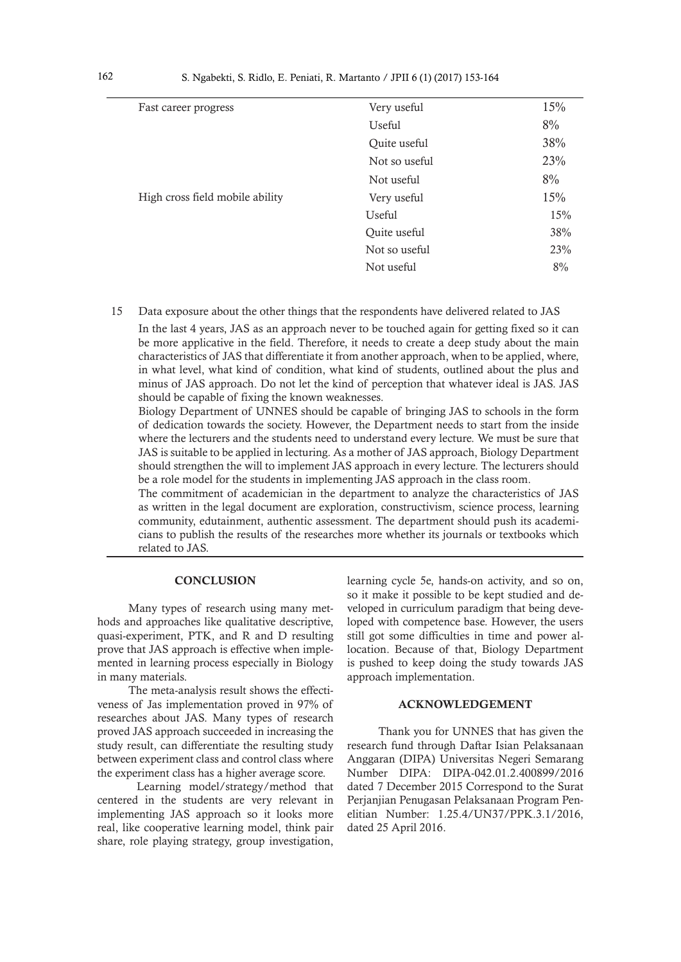| Very useful   | 15% |
|---------------|-----|
| Useful        | 8%  |
| Quite useful  | 38% |
| Not so useful | 23% |
| Not useful    | 8%  |
| Very useful   | 15% |
| <b>Useful</b> | 15% |
| Quite useful  | 38% |
| Not so useful | 23% |
| Not useful    | 8%  |
|               |     |

15 Data exposure about the other things that the respondents have delivered related to JAS

In the last 4 years, JAS as an approach never to be touched again for getting fixed so it can be more applicative in the field. Therefore, it needs to create a deep study about the main characteristics of JAS that differentiate it from another approach, when to be applied, where, in what level, what kind of condition, what kind of students, outlined about the plus and minus of JAS approach. Do not let the kind of perception that whatever ideal is JAS. JAS should be capable of fixing the known weaknesses.

Biology Department of UNNES should be capable of bringing JAS to schools in the form of dedication towards the society. However, the Department needs to start from the inside where the lecturers and the students need to understand every lecture. We must be sure that JAS is suitable to be applied in lecturing. As a mother of JAS approach, Biology Department should strengthen the will to implement JAS approach in every lecture. The lecturers should be a role model for the students in implementing JAS approach in the class room.

The commitment of academician in the department to analyze the characteristics of JAS as written in the legal document are exploration, constructivism, science process, learning community, edutainment, authentic assessment. The department should push its academicians to publish the results of the researches more whether its journals or textbooks which related to JAS.

### **CONCLUSION**

Many types of research using many methods and approaches like qualitative descriptive, quasi-experiment, PTK, and R and D resulting prove that JAS approach is effective when implemented in learning process especially in Biology in many materials.

The meta-analysis result shows the effectiveness of Jas implementation proved in 97% of researches about JAS. Many types of research proved JAS approach succeeded in increasing the study result, can differentiate the resulting study between experiment class and control class where the experiment class has a higher average score.

 Learning model/strategy/method that centered in the students are very relevant in implementing JAS approach so it looks more real, like cooperative learning model, think pair share, role playing strategy, group investigation,

learning cycle 5e, hands-on activity, and so on, so it make it possible to be kept studied and developed in curriculum paradigm that being developed with competence base. However, the users still got some difficulties in time and power allocation. Because of that, Biology Department is pushed to keep doing the study towards JAS approach implementation.

### ACKNOWLEDGEMENT

Thank you for UNNES that has given the research fund through Daftar Isian Pelaksanaan Anggaran (DIPA) Universitas Negeri Semarang Number DIPA: DIPA-042.01.2.400899/2016 dated 7 December 2015 Correspond to the Surat Perjanjian Penugasan Pelaksanaan Program Penelitian Number: 1.25.4/UN37/PPK.3.1/2016, dated 25 April 2016.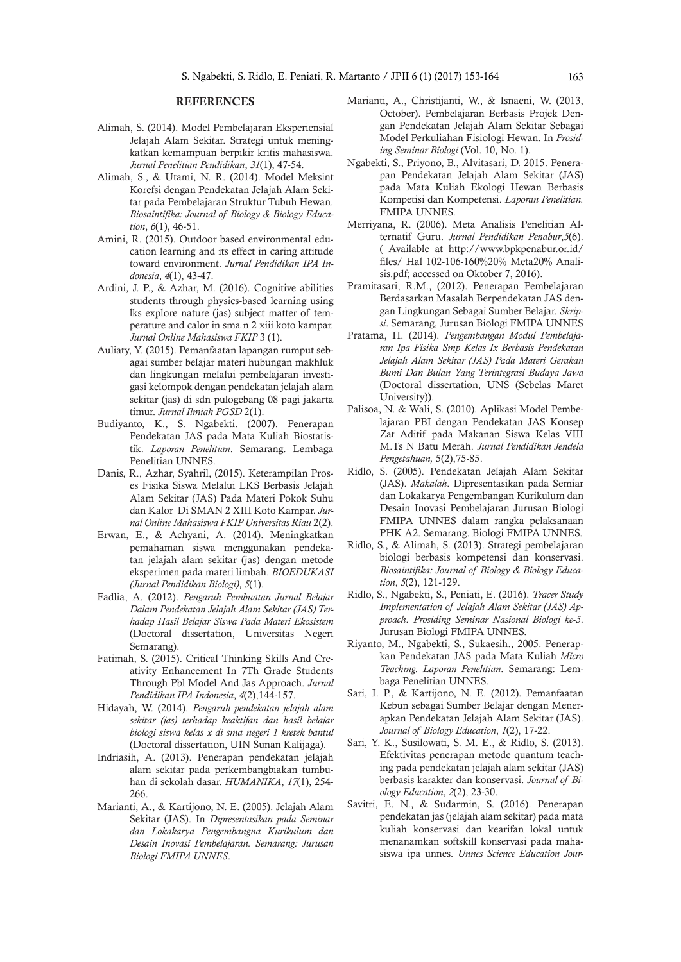#### REFERENCES

- Alimah, S. (2014). Model Pembelajaran Eksperiensial Jelajah Alam Sekitar. Strategi untuk meningkatkan kemampuan berpikir kritis mahasiswa. *Jurnal Penelitian Pendidikan*, *31*(1), 47-54.
- Alimah, S., & Utami, N. R. (2014). Model Meksint Korefsi dengan Pendekatan Jelajah Alam Sekitar pada Pembelajaran Struktur Tubuh Hewan. *Biosaintifika: Journal of Biology & Biology Education*, *6*(1), 46-51.
- Amini, R. (2015). Outdoor based environmental education learning and its effect in caring attitude toward environment. *Jurnal Pendidikan IPA Indonesia*, *4*(1), 43-47.
- Ardini, J. P., & Azhar, M. (2016). Cognitive abilities students through physics-based learning using lks explore nature (jas) subject matter of temperature and calor in sma n 2 xiii koto kampar. *Jurnal Online Mahasiswa FKIP* 3 (1).
- Auliaty, Y. (2015). Pemanfaatan lapangan rumput sebagai sumber belajar materi hubungan makhluk dan lingkungan melalui pembelajaran investigasi kelompok dengan pendekatan jelajah alam sekitar (jas) di sdn pulogebang 08 pagi jakarta timur. *Jurnal Ilmiah PGSD* 2(1).
- Budiyanto, K., S. Ngabekti. (2007). Penerapan Pendekatan JAS pada Mata Kuliah Biostatistik. *Laporan Penelitian*. Semarang. Lembaga Penelitian UNNES.
- Danis, R., Azhar, Syahril, (2015). Keterampilan Proses Fisika Siswa Melalui LKS Berbasis Jelajah Alam Sekitar (JAS) Pada Materi Pokok Suhu dan Kalor Di SMAN 2 XIII Koto Kampar. *Jurnal Online Mahasiswa FKIP Universitas Riau* 2(2).
- Erwan, E., & Achyani, A. (2014). Meningkatkan pemahaman siswa menggunakan pendekatan jelajah alam sekitar (jas) dengan metode eksperimen pada materi limbah. *BIOEDUKASI (Jurnal Pendidikan Biologi)*, *5*(1).
- Fadlia, A. (2012). *Pengaruh Pembuatan Jurnal Belajar Dalam Pendekatan Jelajah Alam Sekitar (JAS) Terhadap Hasil Belajar Siswa Pada Materi Ekosistem* (Doctoral dissertation, Universitas Negeri Semarang).
- Fatimah, S. (2015). Critical Thinking Skills And Creativity Enhancement In 7Th Grade Students Through Pbl Model And Jas Approach. *Jurnal Pendidikan IPA Indonesia*, *4*(2),144-157.
- Hidayah, W. (2014). *Pengaruh pendekatan jelajah alam sekitar (jas) terhadap keaktifan dan hasil belajar biologi siswa kelas x di sma negeri 1 kretek bantul* (Doctoral dissertation, UIN Sunan Kalijaga).
- Indriasih, A. (2013). Penerapan pendekatan jelajah alam sekitar pada perkembangbiakan tumbuhan di sekolah dasar. *HUMANIKA*, *17*(1), 254- 266.
- Marianti, A., & Kartijono, N. E. (2005). Jelajah Alam Sekitar (JAS). In *Dipresentasikan pada Seminar dan Lokakarya Pengembangna Kurikulum dan Desain Inovasi Pembelajaran. Semarang: Jurusan Biologi FMIPA UNNES*.
- Marianti, A., Christijanti, W., & Isnaeni, W. (2013, October). Pembelajaran Berbasis Projek Dengan Pendekatan Jelajah Alam Sekitar Sebagai Model Perkuliahan Fisiologi Hewan. In *Prosiding Seminar Biologi* (Vol. 10, No. 1).
- Ngabekti, S., Priyono, B., Alvitasari, D. 2015. Penerapan Pendekatan Jelajah Alam Sekitar (JAS) pada Mata Kuliah Ekologi Hewan Berbasis Kompetisi dan Kompetensi. *Laporan Penelitian.*  FMIPA UNNES.
- Merriyana, R. (2006). Meta Analisis Penelitian Alternatif Guru. *Jurnal Pendidikan Penabur*,*5*(6). ( Available at http://www.bpkpenabur.or.id/ files/ Hal 102-106-160%20% Meta20% Analisis.pdf; accessed on Oktober 7, 2016).
- Pramitasari, R.M., (2012). Penerapan Pembelajaran Berdasarkan Masalah Berpendekatan JAS dengan Lingkungan Sebagai Sumber Belajar. *Skripsi*. Semarang, Jurusan Biologi FMIPA UNNES
- Pratama, H. (2014). *Pengembangan Modul Pembelajaran Ipa Fisika Smp Kelas Ix Berbasis Pendekatan Jelajah Alam Sekitar (JAS) Pada Materi Gerakan Bumi Dan Bulan Yang Terintegrasi Budaya Jawa* (Doctoral dissertation, UNS (Sebelas Maret University)).
- Palisoa, N. & Wali, S. (2010). Aplikasi Model Pembelajaran PBI dengan Pendekatan JAS Konsep Zat Aditif pada Makanan Siswa Kelas VIII M.Ts N Batu Merah. *Jurnal Pendidikan Jendela Pengetahuan,* 5(2),75-85.
- Ridlo, S. (2005). Pendekatan Jelajah Alam Sekitar (JAS). *Makalah*. Dipresentasikan pada Semiar dan Lokakarya Pengembangan Kurikulum dan Desain Inovasi Pembelajaran Jurusan Biologi FMIPA UNNES dalam rangka pelaksanaan PHK A2. Semarang. Biologi FMIPA UNNES.
- Ridlo, S., & Alimah, S. (2013). Strategi pembelajaran biologi berbasis kompetensi dan konservasi. *Biosaintifika: Journal of Biology & Biology Education*, *5*(2), 121-129.
- Ridlo, S., Ngabekti, S., Peniati, E. (2016). *Tracer Study Implementation of Jelajah Alam Sekitar (JAS) Approach*. *Prosiding Seminar Nasional Biologi ke-5*. Jurusan Biologi FMIPA UNNES.
- Riyanto, M., Ngabekti, S., Sukaesih., 2005. Penerapkan Pendekatan JAS pada Mata Kuliah *Micro Teaching. Laporan Penelitian*. Semarang: Lembaga Penelitian UNNES.
- Sari, I. P., & Kartijono, N. E. (2012). Pemanfaatan Kebun sebagai Sumber Belajar dengan Menerapkan Pendekatan Jelajah Alam Sekitar (JAS). *Journal of Biology Education*, *1*(2), 17-22.
- Sari, Y. K., Susilowati, S. M. E., & Ridlo, S. (2013). Efektivitas penerapan metode quantum teaching pada pendekatan jelajah alam sekitar (JAS) berbasis karakter dan konservasi. *Journal of Biology Education*, *2*(2), 23-30.
- Savitri, E. N., & Sudarmin, S. (2016). Penerapan pendekatan jas (jelajah alam sekitar) pada mata kuliah konservasi dan kearifan lokal untuk menanamkan softskill konservasi pada mahasiswa ipa unnes. *Unnes Science Education Jour-*